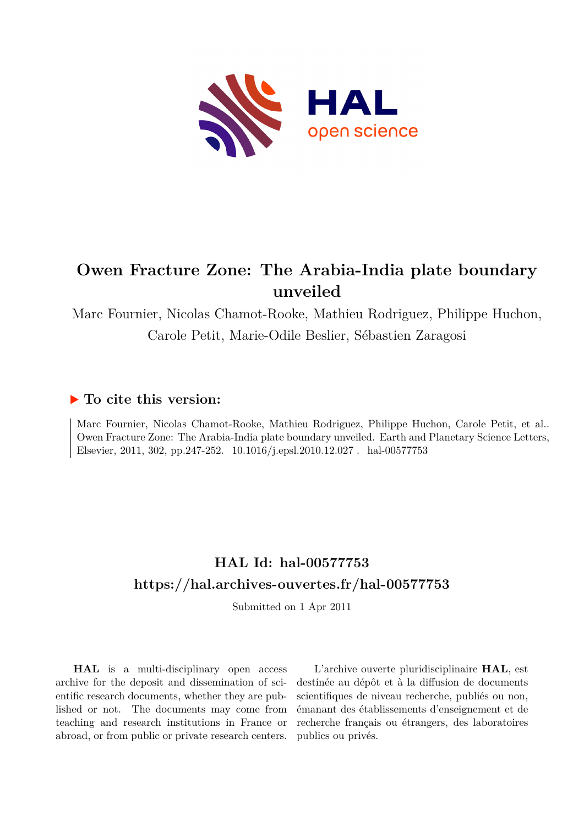

# **Owen Fracture Zone: The Arabia-India plate boundary unveiled**

Marc Fournier, Nicolas Chamot-Rooke, Mathieu Rodriguez, Philippe Huchon, Carole Petit, Marie-Odile Beslier, Sébastien Zaragosi

## **To cite this version:**

Marc Fournier, Nicolas Chamot-Rooke, Mathieu Rodriguez, Philippe Huchon, Carole Petit, et al.. Owen Fracture Zone: The Arabia-India plate boundary unveiled. Earth and Planetary Science Letters, Elsevier, 2011, 302, pp.247-252.  $10.1016/j.epsl.2010.12.027$ . hal-00577753

## **HAL Id: hal-00577753 <https://hal.archives-ouvertes.fr/hal-00577753>**

Submitted on 1 Apr 2011

**HAL** is a multi-disciplinary open access archive for the deposit and dissemination of scientific research documents, whether they are published or not. The documents may come from teaching and research institutions in France or abroad, or from public or private research centers.

L'archive ouverte pluridisciplinaire **HAL**, est destinée au dépôt et à la diffusion de documents scientifiques de niveau recherche, publiés ou non, émanant des établissements d'enseignement et de recherche français ou étrangers, des laboratoires publics ou privés.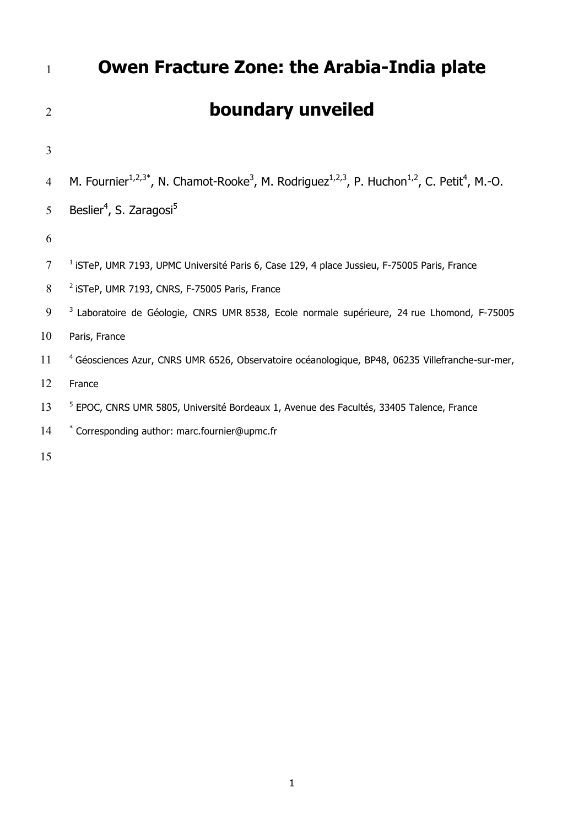| $\mathbf{1}$   | <b>Owen Fracture Zone: the Arabia-India plate</b>                                                                                                       |
|----------------|---------------------------------------------------------------------------------------------------------------------------------------------------------|
| $\overline{2}$ | boundary unveiled                                                                                                                                       |
| $\overline{3}$ |                                                                                                                                                         |
| $\overline{4}$ | M. Fournier <sup>1,2,3*</sup> , N. Chamot-Rooke <sup>3</sup> , M. Rodriguez <sup>1,2,3</sup> , P. Huchon <sup>1,2</sup> , C. Petit <sup>4</sup> , M.-O. |
| 5              | Beslier <sup>4</sup> , S. Zaragosi <sup>5</sup>                                                                                                         |
| 6              |                                                                                                                                                         |
| $\overline{7}$ | <sup>1</sup> iSTeP, UMR 7193, UPMC Université Paris 6, Case 129, 4 place Jussieu, F-75005 Paris, France                                                 |
| 8              | <sup>2</sup> iSTeP, UMR 7193, CNRS, F-75005 Paris, France                                                                                               |
| 9              | <sup>3</sup> Laboratoire de Géologie, CNRS UMR 8538, Ecole normale supérieure, 24 rue Lhomond, F-75005                                                  |
| 10             | Paris, France                                                                                                                                           |
| 11             | <sup>4</sup> Géosciences Azur, CNRS UMR 6526, Observatoire océanologique, BP48, 06235 Villefranche-sur-mer,                                             |
| 12             | France                                                                                                                                                  |
| 13             | <sup>5</sup> EPOC, CNRS UMR 5805, Université Bordeaux 1, Avenue des Facultés, 33405 Talence, France                                                     |
| 14             | * Corresponding author: marc.fournier@upmc.fr                                                                                                           |
|                |                                                                                                                                                         |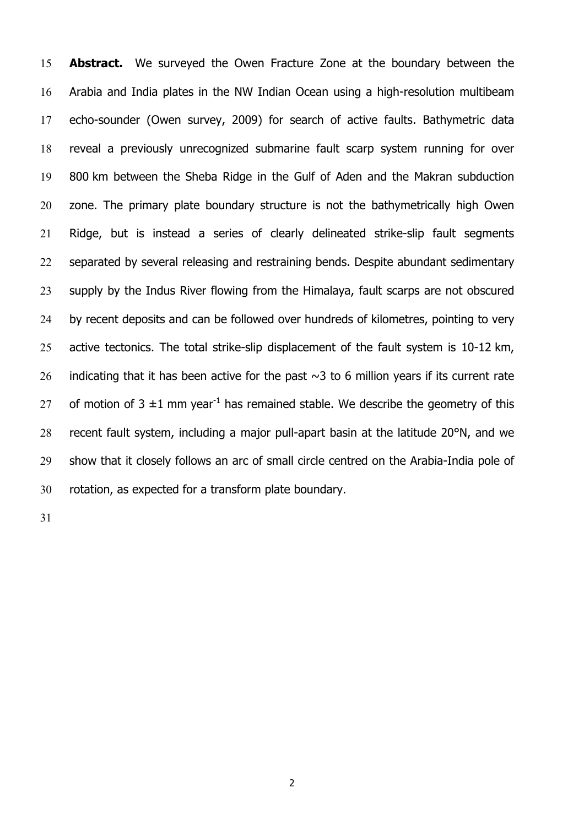**Abstract.** We surveyed the Owen Fracture Zone at the boundary between the Arabia and India plates in the NW Indian Ocean using a high-resolution multibeam echo-sounder (Owen survey, 2009) for search of active faults. Bathymetric data reveal a previously unrecognized submarine fault scarp system running for over 800 km between the Sheba Ridge in the Gulf of Aden and the Makran subduction 20 zone. The primary plate boundary structure is not the bathymetrically high Owen Ridge, but is instead a series of clearly delineated strike-slip fault segments 22 separated by several releasing and restraining bends. Despite abundant sedimentary supply by the Indus River flowing from the Himalaya, fault scarps are not obscured 24 by recent deposits and can be followed over hundreds of kilometres, pointing to very 25 active tectonics. The total strike-slip displacement of the fault system is 10-12 km, 26 indicating that it has been active for the past  $\sim$ 3 to 6 million years if its current rate 27 of motion of 3  $\pm$ 1 mm vear<sup>-1</sup> has remained stable. We describe the geometry of this recent fault system, including a major pull-apart basin at the latitude 20°N, and we show that it closely follows an arc of small circle centred on the Arabia-India pole of rotation, as expected for a transform plate boundary.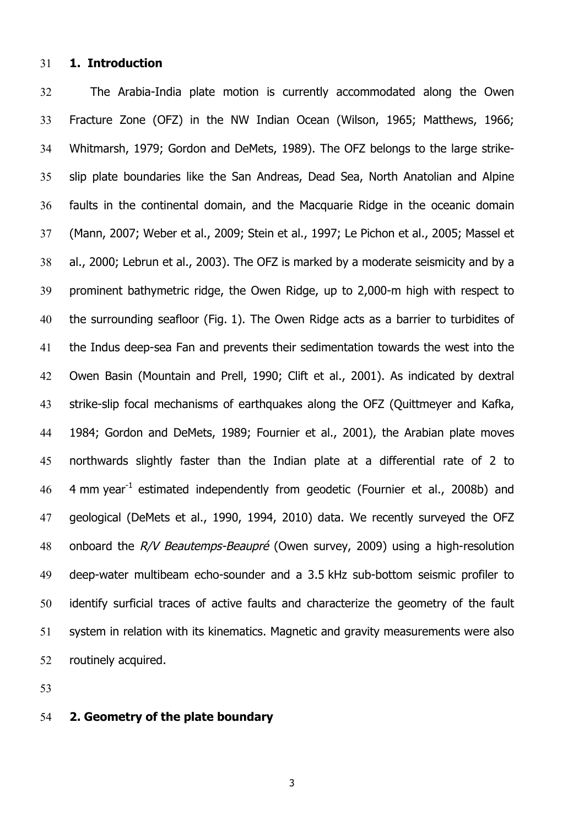#### **1. Introduction**

The Arabia-India plate motion is currently accommodated along the Owen Fracture Zone (OFZ) in the NW Indian Ocean (Wilson, 1965; Matthews, 1966; Whitmarsh, 1979; Gordon and DeMets, 1989). The OFZ belongs to the large strike-slip plate boundaries like the San Andreas, Dead Sea, North Anatolian and Alpine faults in the continental domain, and the Macquarie Ridge in the oceanic domain (Mann, 2007; Weber et al., 2009; Stein et al., 1997; Le Pichon et al., 2005; Massel et al., 2000; Lebrun et al., 2003). The OFZ is marked by a moderate seismicity and by a prominent bathymetric ridge, the Owen Ridge, up to 2,000-m high with respect to the surrounding seafloor (Fig. 1). The Owen Ridge acts as a barrier to turbidites of the Indus deep-sea Fan and prevents their sedimentation towards the west into the Owen Basin (Mountain and Prell, 1990; Clift et al., 2001). As indicated by dextral strike-slip focal mechanisms of earthquakes along the OFZ (Quittmeyer and Kafka, 1984; Gordon and DeMets, 1989; Fournier et al., 2001), the Arabian plate moves northwards slightly faster than the Indian plate at a differential rate of 2 to  $\,$  4 mm year<sup>-1</sup> estimated independently from geodetic (Fournier et al., 2008b) and geological (DeMets et al., 1990, 1994, 2010) data. We recently surveyed the OFZ 48 onboard the R/V Beautemps-Beaupré (Owen survey, 2009) using a high-resolution deep-water multibeam echo-sounder and a 3.5 kHz sub-bottom seismic profiler to identify surficial traces of active faults and characterize the geometry of the fault system in relation with its kinematics. Magnetic and gravity measurements were also routinely acquired.

## **2. Geometry of the plate boundary**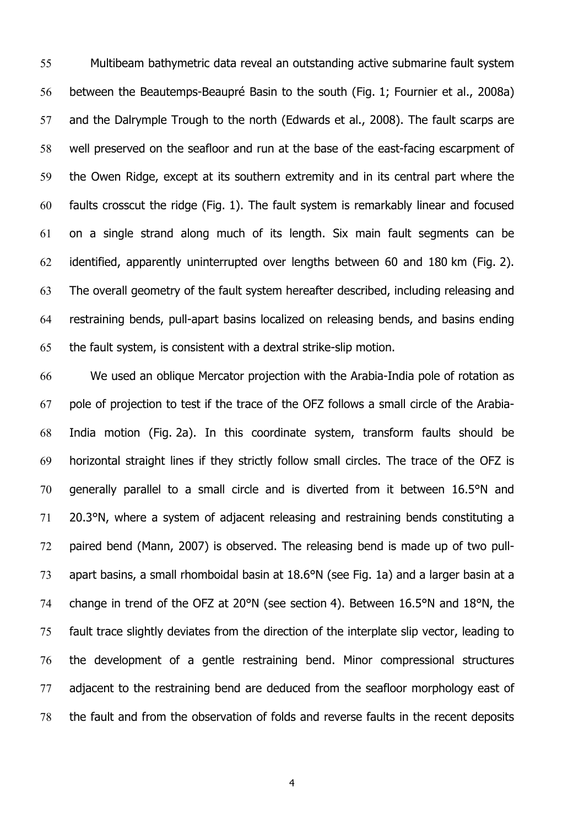Multibeam bathymetric data reveal an outstanding active submarine fault system between the Beautemps-Beaupré Basin to the south (Fig. 1; Fournier et al., 2008a) and the Dalrymple Trough to the north (Edwards et al., 2008). The fault scarps are well preserved on the seafloor and run at the base of the east-facing escarpment of the Owen Ridge, except at its southern extremity and in its central part where the faults crosscut the ridge (Fig. 1). The fault system is remarkably linear and focused on a single strand along much of its length. Six main fault segments can be identified, apparently uninterrupted over lengths between 60 and 180 km (Fig. 2). The overall geometry of the fault system hereafter described, including releasing and restraining bends, pull-apart basins localized on releasing bends, and basins ending the fault system, is consistent with a dextral strike-slip motion.

We used an oblique Mercator projection with the Arabia-India pole of rotation as pole of projection to test if the trace of the OFZ follows a small circle of the Arabia-India motion (Fig. 2a). In this coordinate system, transform faults should be horizontal straight lines if they strictly follow small circles. The trace of the OFZ is generally parallel to a small circle and is diverted from it between 16.5°N and 20.3°N, where a system of adjacent releasing and restraining bends constituting a paired bend (Mann, 2007) is observed. The releasing bend is made up of two pull-apart basins, a small rhomboidal basin at 18.6°N (see Fig. 1a) and a larger basin at a change in trend of the OFZ at 20°N (see section 4). Between 16.5°N and 18°N, the fault trace slightly deviates from the direction of the interplate slip vector, leading to the development of a gentle restraining bend. Minor compressional structures adjacent to the restraining bend are deduced from the seafloor morphology east of the fault and from the observation of folds and reverse faults in the recent deposits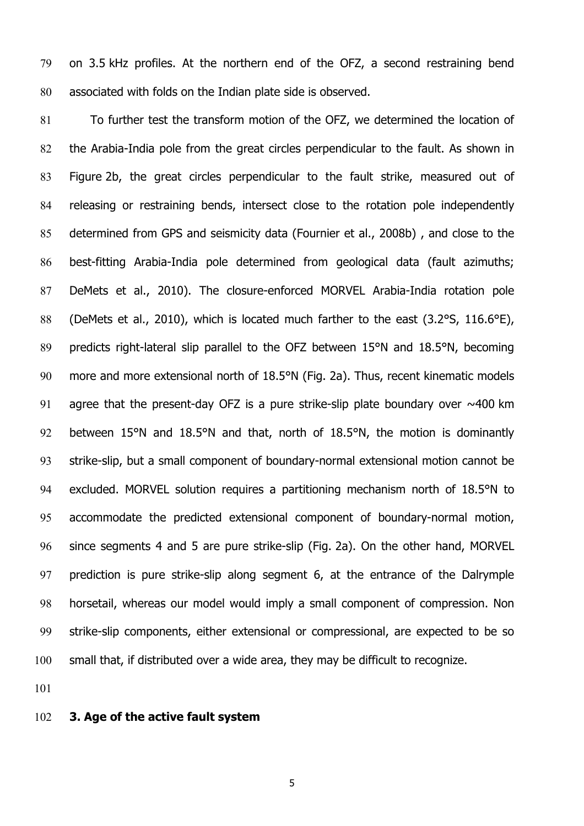on 3.5 kHz profiles. At the northern end of the OFZ, a second restraining bend associated with folds on the Indian plate side is observed.

To further test the transform motion of the OFZ, we determined the location of the Arabia-India pole from the great circles perpendicular to the fault. As shown in Figure 2b, the great circles perpendicular to the fault strike, measured out of releasing or restraining bends, intersect close to the rotation pole independently determined from GPS and seismicity data (Fournier et al., 2008b) , and close to the best-fitting Arabia-India pole determined from geological data (fault azimuths; DeMets et al., 2010). The closure-enforced MORVEL Arabia-India rotation pole (DeMets et al., 2010), which is located much farther to the east (3.2°S, 116.6°E), predicts right-lateral slip parallel to the OFZ between 15°N and 18.5°N, becoming more and more extensional north of 18.5°N (Fig. 2a). Thus, recent kinematic models 91 agree that the present-day OFZ is a pure strike-slip plate boundary over  $\sim$ 400 km between 15°N and 18.5°N and that, north of 18.5°N, the motion is dominantly strike-slip, but a small component of boundary-normal extensional motion cannot be excluded. MORVEL solution requires a partitioning mechanism north of 18.5°N to accommodate the predicted extensional component of boundary-normal motion, since segments 4 and 5 are pure strike-slip (Fig. 2a). On the other hand, MORVEL prediction is pure strike-slip along segment 6, at the entrance of the Dalrymple horsetail, whereas our model would imply a small component of compression. Non strike-slip components, either extensional or compressional, are expected to be so small that, if distributed over a wide area, they may be difficult to recognize.

## **3. Age of the active fault system**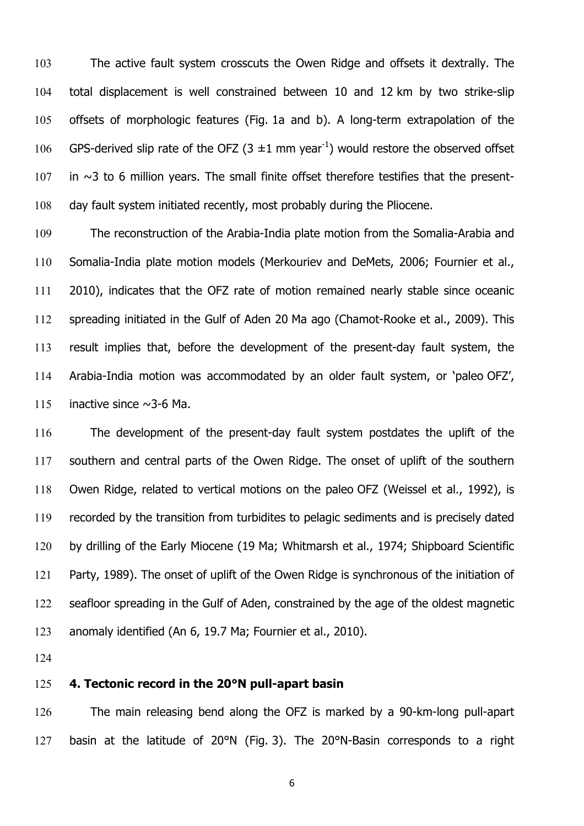The active fault system crosscuts the Owen Ridge and offsets it dextrally. The total displacement is well constrained between 10 and 12 km by two strike-slip offsets of morphologic features (Fig. 1a and b). A long-term extrapolation of the 106 GPS-derived slip rate of the OFZ  $(3 \pm 1 \text{ mm} \text{ year}^{-1})$  would restore the observed offset in  $\sim$ 3 to 6 million years. The small finite offset therefore testifies that the present-day fault system initiated recently, most probably during the Pliocene.

The reconstruction of the Arabia-India plate motion from the Somalia-Arabia and Somalia-India plate motion models (Merkouriev and DeMets, 2006; Fournier et al., 2010), indicates that the OFZ rate of motion remained nearly stable since oceanic spreading initiated in the Gulf of Aden 20 Ma ago (Chamot-Rooke et al., 2009). This result implies that, before the development of the present-day fault system, the Arabia-India motion was accommodated by an older fault system, or 'paleo OFZ', 115 inactive since  $\sim$ 3-6 Ma.

The development of the present-day fault system postdates the uplift of the southern and central parts of the Owen Ridge. The onset of uplift of the southern Owen Ridge, related to vertical motions on the paleo OFZ (Weissel et al., 1992), is recorded by the transition from turbidites to pelagic sediments and is precisely dated by drilling of the Early Miocene (19 Ma; Whitmarsh et al., 1974; Shipboard Scientific Party, 1989). The onset of uplift of the Owen Ridge is synchronous of the initiation of seafloor spreading in the Gulf of Aden, constrained by the age of the oldest magnetic anomaly identified (An 6, 19.7 Ma; Fournier et al., 2010).

### **4. Tectonic record in the 20°N pull-apart basin**

The main releasing bend along the OFZ is marked by a 90-km-long pull-apart 127 basin at the latitude of 20°N (Fig. 3). The 20°N-Basin corresponds to a right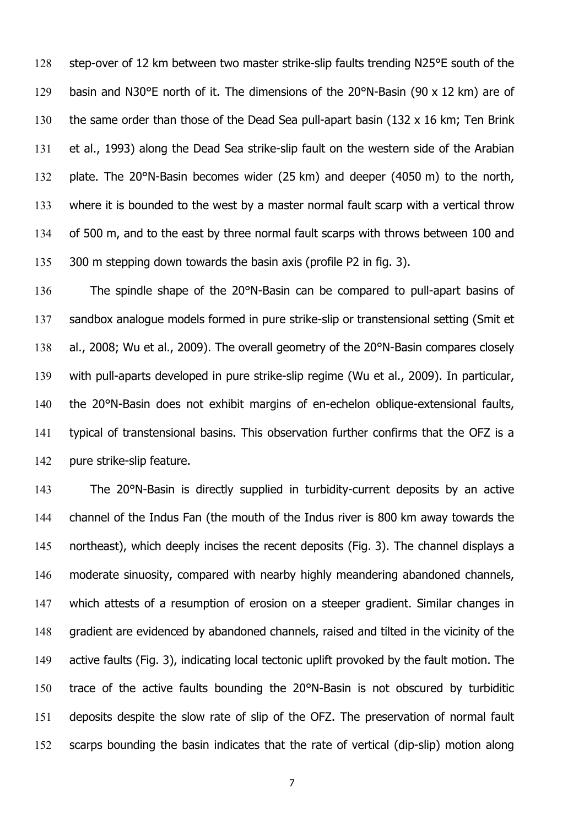128 step-over of 12 km between two master strike-slip faults trending N25°E south of the 129 basin and N30°E north of it. The dimensions of the 20°N-Basin (90 x 12 km) are of the same order than those of the Dead Sea pull-apart basin (132 x 16 km; Ten Brink et al., 1993) along the Dead Sea strike-slip fault on the western side of the Arabian plate. The 20°N-Basin becomes wider (25 km) and deeper (4050 m) to the north, where it is bounded to the west by a master normal fault scarp with a vertical throw of 500 m, and to the east by three normal fault scarps with throws between 100 and 135 300 m stepping down towards the basin axis (profile P2 in fig. 3).

The spindle shape of the 20°N-Basin can be compared to pull-apart basins of sandbox analogue models formed in pure strike-slip or transtensional setting (Smit et 138 al., 2008; Wu et al., 2009). The overall geometry of the 20°N-Basin compares closely with pull-aparts developed in pure strike-slip regime (Wu et al., 2009). In particular, 140 the 20°N-Basin does not exhibit margins of en-echelon oblique-extensional faults, typical of transtensional basins. This observation further confirms that the OFZ is a pure strike-slip feature.

The 20°N-Basin is directly supplied in turbidity-current deposits by an active channel of the Indus Fan (the mouth of the Indus river is 800 km away towards the northeast), which deeply incises the recent deposits (Fig. 3). The channel displays a moderate sinuosity, compared with nearby highly meandering abandoned channels, which attests of a resumption of erosion on a steeper gradient. Similar changes in gradient are evidenced by abandoned channels, raised and tilted in the vicinity of the active faults (Fig. 3), indicating local tectonic uplift provoked by the fault motion. The trace of the active faults bounding the 20°N-Basin is not obscured by turbiditic deposits despite the slow rate of slip of the OFZ. The preservation of normal fault scarps bounding the basin indicates that the rate of vertical (dip-slip) motion along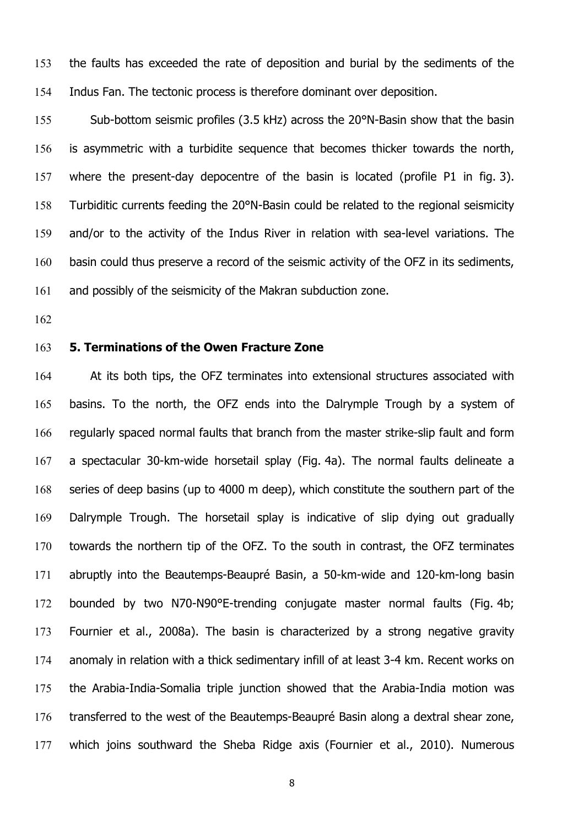the faults has exceeded the rate of deposition and burial by the sediments of the Indus Fan. The tectonic process is therefore dominant over deposition.

Sub-bottom seismic profiles (3.5 kHz) across the 20°N-Basin show that the basin is asymmetric with a turbidite sequence that becomes thicker towards the north, where the present-day depocentre of the basin is located (profile P1 in fig. 3). Turbiditic currents feeding the 20°N-Basin could be related to the regional seismicity and/or to the activity of the Indus River in relation with sea-level variations. The 160 basin could thus preserve a record of the seismic activity of the OFZ in its sediments, and possibly of the seismicity of the Makran subduction zone.

#### **5. Terminations of the Owen Fracture Zone**

At its both tips, the OFZ terminates into extensional structures associated with basins. To the north, the OFZ ends into the Dalrymple Trough by a system of regularly spaced normal faults that branch from the master strike-slip fault and form a spectacular 30-km-wide horsetail splay (Fig. 4a). The normal faults delineate a series of deep basins (up to 4000 m deep), which constitute the southern part of the Dalrymple Trough. The horsetail splay is indicative of slip dying out gradually towards the northern tip of the OFZ. To the south in contrast, the OFZ terminates abruptly into the Beautemps-Beaupré Basin, a 50-km-wide and 120-km-long basin bounded by two N70-N90°E-trending conjugate master normal faults (Fig. 4b; Fournier et al., 2008a). The basin is characterized by a strong negative gravity anomaly in relation with a thick sedimentary infill of at least 3-4 km. Recent works on the Arabia-India-Somalia triple junction showed that the Arabia-India motion was transferred to the west of the Beautemps-Beaupré Basin along a dextral shear zone, which joins southward the Sheba Ridge axis (Fournier et al., 2010). Numerous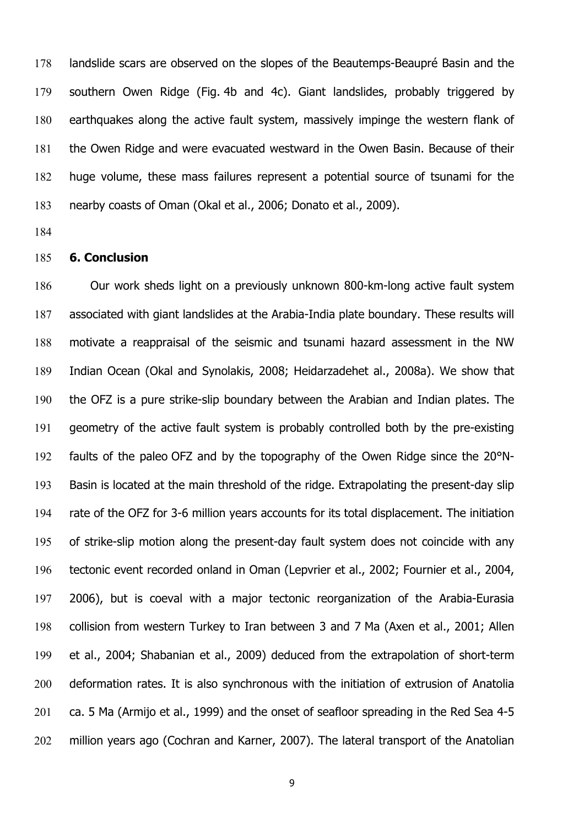landslide scars are observed on the slopes of the Beautemps-Beaupré Basin and the southern Owen Ridge (Fig. 4b and 4c). Giant landslides, probably triggered by earthquakes along the active fault system, massively impinge the western flank of the Owen Ridge and were evacuated westward in the Owen Basin. Because of their huge volume, these mass failures represent a potential source of tsunami for the nearby coasts of Oman (Okal et al., 2006; Donato et al., 2009).

### **6. Conclusion**

Our work sheds light on a previously unknown 800-km-long active fault system associated with giant landslides at the Arabia-India plate boundary. These results will motivate a reappraisal of the seismic and tsunami hazard assessment in the NW Indian Ocean (Okal and Synolakis, 2008; Heidarzadehet al., 2008a). We show that the OFZ is a pure strike-slip boundary between the Arabian and Indian plates. The geometry of the active fault system is probably controlled both by the pre-existing faults of the paleo OFZ and by the topography of the Owen Ridge since the 20°N-Basin is located at the main threshold of the ridge. Extrapolating the present-day slip rate of the OFZ for 3-6 million years accounts for its total displacement. The initiation of strike-slip motion along the present-day fault system does not coincide with any tectonic event recorded onland in Oman (Lepvrier et al., 2002; Fournier et al., 2004, 2006), but is coeval with a major tectonic reorganization of the Arabia-Eurasia collision from western Turkey to Iran between 3 and 7 Ma (Axen et al., 2001; Allen et al., 2004; Shabanian et al., 2009) deduced from the extrapolation of short-term deformation rates. It is also synchronous with the initiation of extrusion of Anatolia ca. 5 Ma (Armijo et al., 1999) and the onset of seafloor spreading in the Red Sea 4-5 million years ago (Cochran and Karner, 2007). The lateral transport of the Anatolian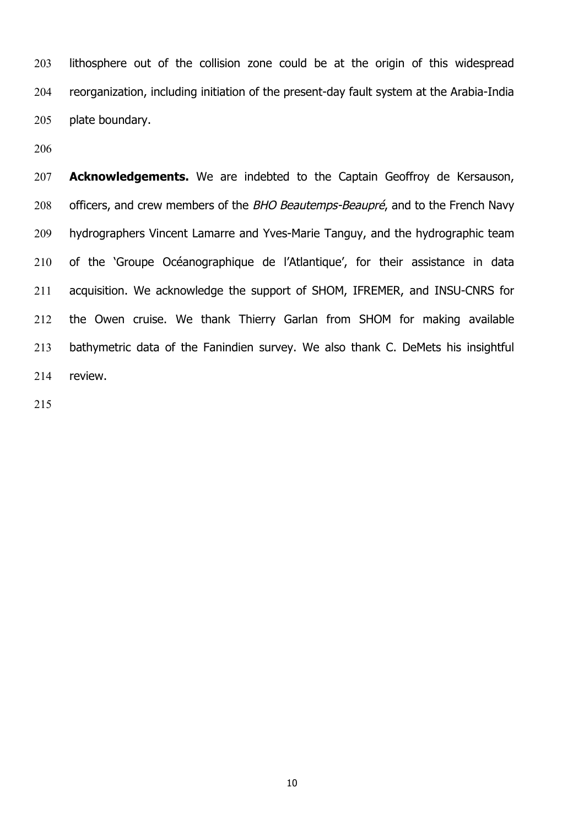lithosphere out of the collision zone could be at the origin of this widespread reorganization, including initiation of the present-day fault system at the Arabia-India plate boundary.

**Acknowledgements.** We are indebted to the Captain Geoffroy de Kersauson, 208 officers, and crew members of the BHO Beautemps-Beaupré, and to the French Navy hydrographers Vincent Lamarre and Yves-Marie Tanguy, and the hydrographic team of the 'Groupe Océanographique de l'Atlantique', for their assistance in data acquisition. We acknowledge the support of SHOM, IFREMER, and INSU-CNRS for the Owen cruise. We thank Thierry Garlan from SHOM for making available bathymetric data of the Fanindien survey. We also thank C. DeMets his insightful review.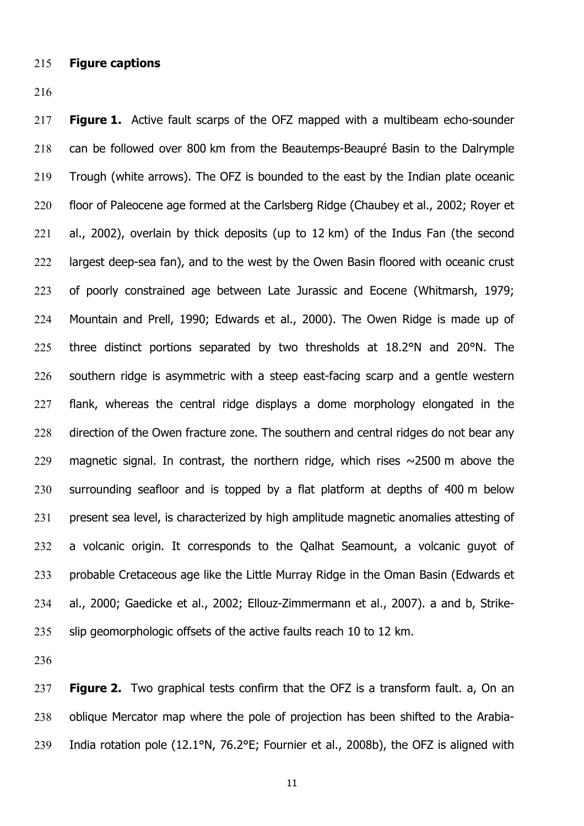- **Figure captions**
- 

**Figure 1.** Active fault scarps of the OFZ mapped with a multibeam echo-sounder can be followed over 800 km from the Beautemps-Beaupré Basin to the Dalrymple Trough (white arrows). The OFZ is bounded to the east by the Indian plate oceanic floor of Paleocene age formed at the Carlsberg Ridge (Chaubey et al., 2002; Royer et al., 2002), overlain by thick deposits (up to 12 km) of the Indus Fan (the second 222 largest deep-sea fan), and to the west by the Owen Basin floored with oceanic crust of poorly constrained age between Late Jurassic and Eocene (Whitmarsh, 1979; Mountain and Prell, 1990; Edwards et al., 2000). The Owen Ridge is made up of three distinct portions separated by two thresholds at 18.2°N and 20°N. The southern ridge is asymmetric with a steep east-facing scarp and a gentle western flank, whereas the central ridge displays a dome morphology elongated in the 228 direction of the Owen fracture zone. The southern and central ridges do not bear any 229 magnetic signal. In contrast, the northern ridge, which rises  $\sim$ 2500 m above the surrounding seafloor and is topped by a flat platform at depths of 400 m below present sea level, is characterized by high amplitude magnetic anomalies attesting of a volcanic origin. It corresponds to the Qalhat Seamount, a volcanic guyot of probable Cretaceous age like the Little Murray Ridge in the Oman Basin (Edwards et al., 2000; Gaedicke et al., 2002; Ellouz-Zimmermann et al., 2007). a and b, Strike-235 slip geomorphologic offsets of the active faults reach 10 to 12 km.

**Figure 2.** Two graphical tests confirm that the OFZ is a transform fault. a, On an oblique Mercator map where the pole of projection has been shifted to the Arabia-India rotation pole (12.1°N, 76.2°E; Fournier et al., 2008b), the OFZ is aligned with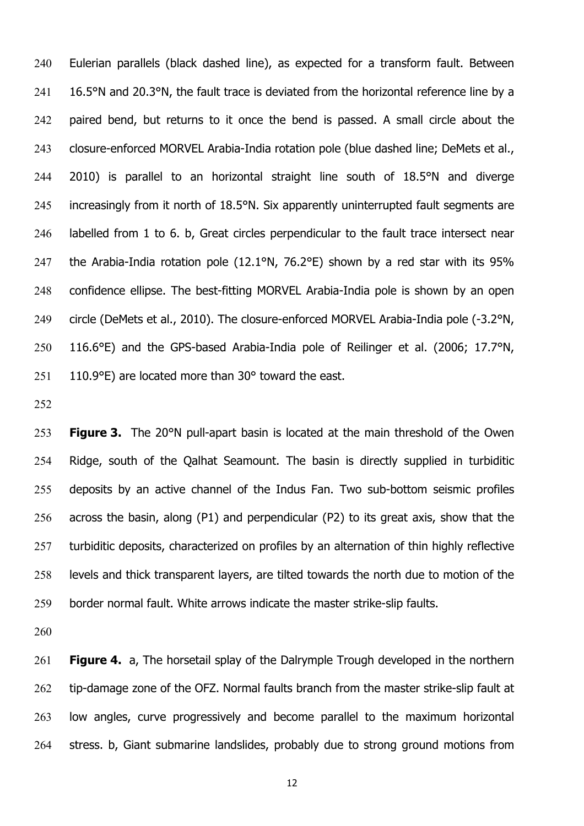Eulerian parallels (black dashed line), as expected for a transform fault. Between 241 16.5°N and 20.3°N, the fault trace is deviated from the horizontal reference line by a 242 paired bend, but returns to it once the bend is passed. A small circle about the 243 closure-enforced MORVEL Arabia-India rotation pole (blue dashed line; DeMets et al., 2010) is parallel to an horizontal straight line south of 18.5°N and diverge increasingly from it north of 18.5°N. Six apparently uninterrupted fault segments are labelled from 1 to 6. b, Great circles perpendicular to the fault trace intersect near the Arabia-India rotation pole (12.1°N, 76.2°E) shown by a red star with its 95% confidence ellipse. The best-fitting MORVEL Arabia-India pole is shown by an open 249 circle (DeMets et al., 2010). The closure-enforced MORVEL Arabia-India pole (-3.2°N, 116.6°E) and the GPS-based Arabia-India pole of Reilinger et al. (2006; 17.7°N, 110.9°E) are located more than 30° toward the east.

**Figure 3.** The 20°N pull-apart basin is located at the main threshold of the Owen Ridge, south of the Qalhat Seamount. The basin is directly supplied in turbiditic deposits by an active channel of the Indus Fan. Two sub-bottom seismic profiles across the basin, along (P1) and perpendicular (P2) to its great axis, show that the 257 turbiditic deposits, characterized on profiles by an alternation of thin highly reflective levels and thick transparent layers, are tilted towards the north due to motion of the border normal fault. White arrows indicate the master strike-slip faults.

**Figure 4.** a, The horsetail splay of the Dalrymple Trough developed in the northern 262 tip-damage zone of the OFZ. Normal faults branch from the master strike-slip fault at low angles, curve progressively and become parallel to the maximum horizontal stress. b, Giant submarine landslides, probably due to strong ground motions from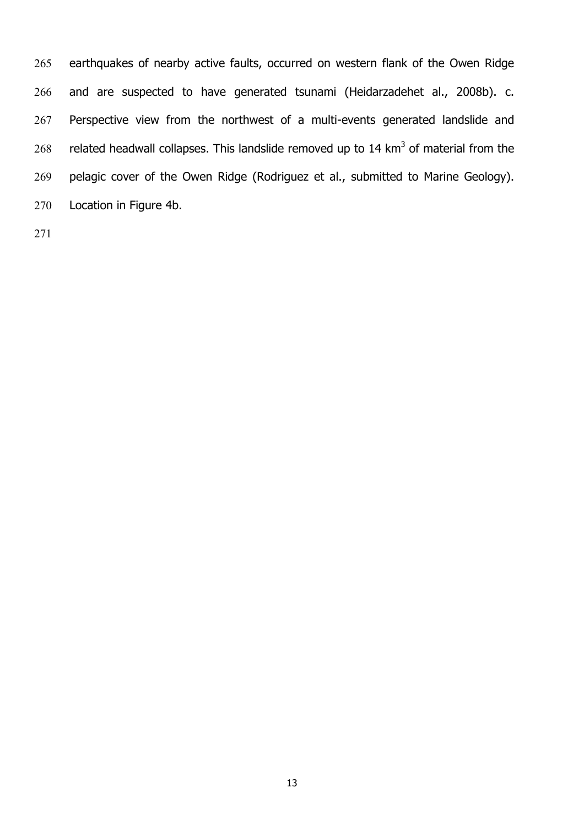earthquakes of nearby active faults, occurred on western flank of the Owen Ridge and are suspected to have generated tsunami (Heidarzadehet al., 2008b). c. Perspective view from the northwest of a multi-events generated landslide and 268 related headwall collapses. This landslide removed up to  $14 \text{ km}^3$  of material from the pelagic cover of the Owen Ridge (Rodriguez et al., submitted to Marine Geology). Location in Figure 4b.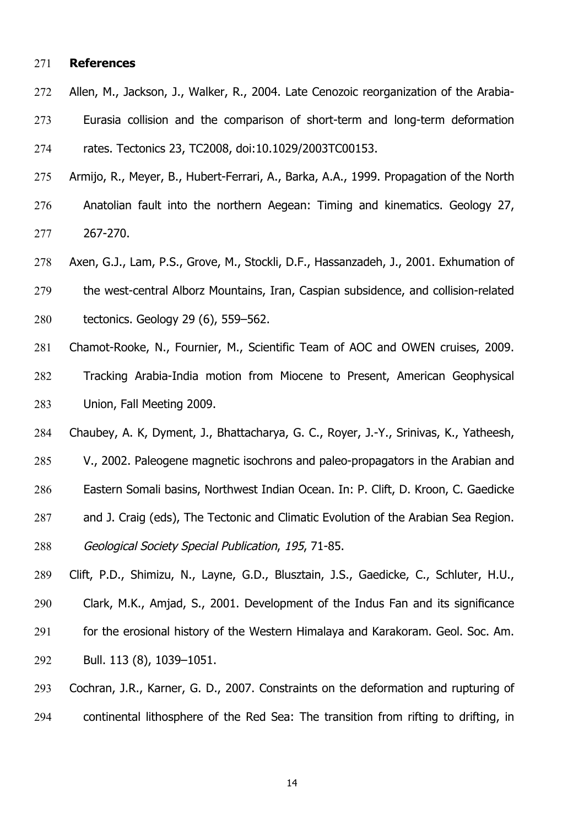#### **References**

- Allen, M., Jackson, J., Walker, R., 2004. Late Cenozoic reorganization of the Arabia-Eurasia collision and the comparison of short-term and long-term deformation rates. Tectonics 23, TC2008, doi:10.1029/2003TC00153.
- Armijo, R., Meyer, B., Hubert-Ferrari, A., Barka, A.A., 1999. Propagation of the North Anatolian fault into the northern Aegean: Timing and kinematics. Geology 27, 267-270.
- Axen, G.J., Lam, P.S., Grove, M., Stockli, D.F., Hassanzadeh, J., 2001. Exhumation of the west-central Alborz Mountains, Iran, Caspian subsidence, and collision-related tectonics. Geology 29 (6), 559–562.
- Chamot-Rooke, N., Fournier, M., Scientific Team of AOC and OWEN cruises, 2009. Tracking Arabia-India motion from Miocene to Present, American Geophysical Union, Fall Meeting 2009.
- Chaubey, A. K, Dyment, J., Bhattacharya, G. C., Royer, J.-Y., Srinivas, K., Yatheesh,
- V., 2002. Paleogene magnetic isochrons and paleo-propagators in the Arabian and
- Eastern Somali basins, Northwest Indian Ocean. In: P. Clift, D. Kroon, C. Gaedicke
- and J. Craig (eds), The Tectonic and Climatic Evolution of the Arabian Sea Region.
- Geological Society Special Publication, 195, 71-85.
- Clift, P.D., Shimizu, N., Layne, G.D., Blusztain, J.S., Gaedicke, C., Schluter, H.U., Clark, M.K., Amjad, S., 2001. Development of the Indus Fan and its significance for the erosional history of the Western Himalaya and Karakoram. Geol. Soc. Am. Bull. 113 (8), 1039–1051.
- Cochran, J.R., Karner, G. D., 2007. Constraints on the deformation and rupturing of continental lithosphere of the Red Sea: The transition from rifting to drifting, in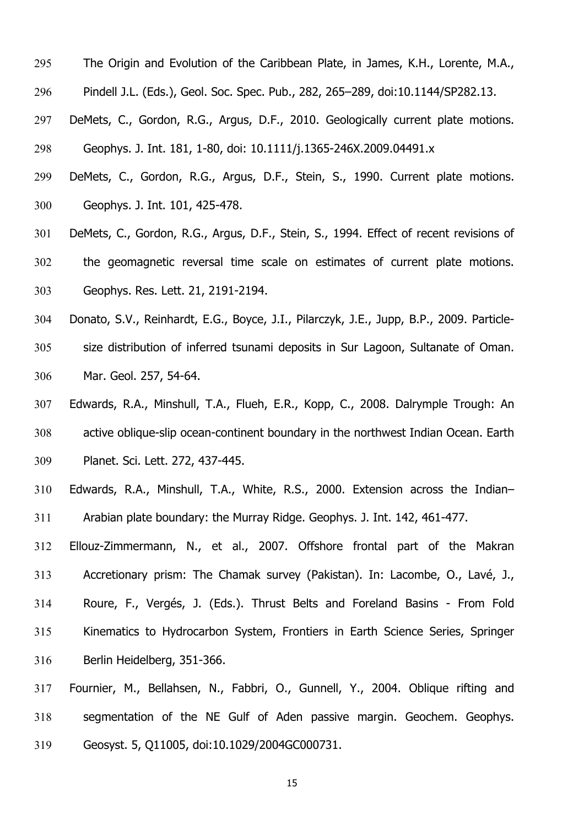- The Origin and Evolution of the Caribbean Plate, in James, K.H., Lorente, M.A.,
- Pindell J.L. (Eds.), Geol. Soc. Spec. Pub., 282, 265–289, doi:10.1144/SP282.13.
- DeMets, C., Gordon, R.G., Argus, D.F., 2010. Geologically current plate motions. Geophys. J. Int. 181, 1-80, doi: 10.1111/j.1365-246X.2009.04491.x
- DeMets, C., Gordon, R.G., Argus, D.F., Stein, S., 1990. Current plate motions. Geophys. J. Int. 101, 425-478.
- DeMets, C., Gordon, R.G., Argus, D.F., Stein, S., 1994. Effect of recent revisions of the geomagnetic reversal time scale on estimates of current plate motions. Geophys. Res. Lett. 21, 2191-2194.
- Donato, S.V., Reinhardt, E.G., Boyce, J.I., Pilarczyk, J.E., Jupp, B.P., 2009. Particle-size distribution of inferred tsunami deposits in Sur Lagoon, Sultanate of Oman. Mar. Geol. 257, 54-64.
- Edwards, R.A., Minshull, T.A., Flueh, E.R., Kopp, C., 2008. Dalrymple Trough: An active oblique-slip ocean-continent boundary in the northwest Indian Ocean. Earth Planet. Sci. Lett. 272, 437-445.
- Edwards, R.A., Minshull, T.A., White, R.S., 2000. Extension across the Indian– Arabian plate boundary: the Murray Ridge. Geophys. J. Int. 142, 461-477.
- Ellouz-Zimmermann, N., et al., 2007. Offshore frontal part of the Makran Accretionary prism: The Chamak survey (Pakistan). In: Lacombe, O., Lavé, J., Roure, F., Vergés, J. (Eds.). Thrust Belts and Foreland Basins - From Fold Kinematics to Hydrocarbon System, Frontiers in Earth Science Series, Springer Berlin Heidelberg, 351-366.
- Fournier, M., Bellahsen, N., Fabbri, O., Gunnell, Y., 2004. Oblique rifting and segmentation of the NE Gulf of Aden passive margin. Geochem. Geophys. Geosyst. 5, Q11005, doi:10.1029/2004GC000731.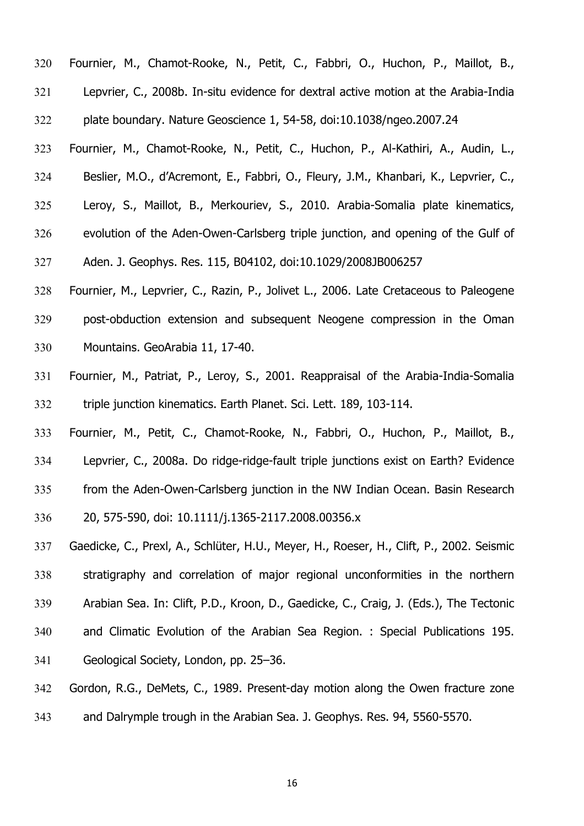Fournier, M., Chamot-Rooke, N., Petit, C., Fabbri, O., Huchon, P., Maillot, B., Lepvrier, C., 2008b. In-situ evidence for dextral active motion at the Arabia-India plate boundary. Nature Geoscience 1, 54-58, doi:10.1038/ngeo.2007.24 Fournier, M., Chamot-Rooke, N., Petit, C., Huchon, P., Al-Kathiri, A., Audin, L., Beslier, M.O., d'Acremont, E., Fabbri, O., Fleury, J.M., Khanbari, K., Lepvrier, C., Leroy, S., Maillot, B., Merkouriev, S., 2010. Arabia-Somalia plate kinematics, evolution of the Aden-Owen-Carlsberg triple junction, and opening of the Gulf of Aden. J. Geophys. Res. 115, B04102, doi:10.1029/2008JB006257

Fournier, M., Lepvrier, C., Razin, P., Jolivet L., 2006. Late Cretaceous to Paleogene post-obduction extension and subsequent Neogene compression in the Oman Mountains. GeoArabia 11, 17-40.

Fournier, M., Patriat, P., Leroy, S., 2001. Reappraisal of the Arabia-India-Somalia triple junction kinematics. Earth Planet. Sci. Lett. 189, 103-114.

Fournier, M., Petit, C., Chamot-Rooke, N., Fabbri, O., Huchon, P., Maillot, B., Lepvrier, C., 2008a. Do ridge-ridge-fault triple junctions exist on Earth? Evidence from the Aden-Owen-Carlsberg junction in the NW Indian Ocean. Basin Research 20, 575-590, doi: 10.1111/j.1365-2117.2008.00356.x

Gaedicke, C., Prexl, A., Schlüter, H.U., Meyer, H., Roeser, H., Clift, P., 2002. Seismic stratigraphy and correlation of major regional unconformities in the northern Arabian Sea. In: Clift, P.D., Kroon, D., Gaedicke, C., Craig, J. (Eds.), The Tectonic and Climatic Evolution of the Arabian Sea Region. : Special Publications 195. Geological Society, London, pp. 25–36.

Gordon, R.G., DeMets, C., 1989. Present-day motion along the Owen fracture zone and Dalrymple trough in the Arabian Sea. J. Geophys. Res. 94, 5560-5570.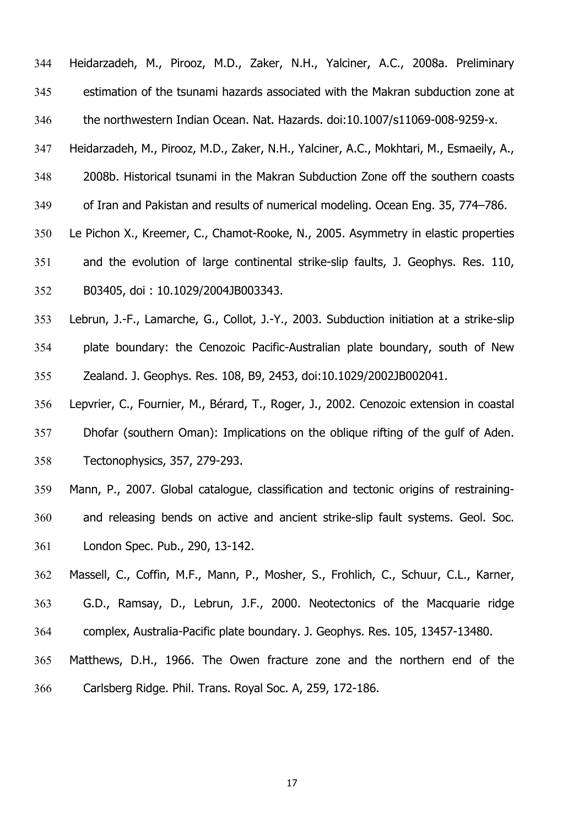Heidarzadeh, M., Pirooz, M.D., Zaker, N.H., Yalciner, A.C., 2008a. Preliminary estimation of the tsunami hazards associated with the Makran subduction zone at the northwestern Indian Ocean. Nat. Hazards. doi:10.1007/s11069-008-9259-x.

Heidarzadeh, M., Pirooz, M.D., Zaker, N.H., Yalciner, A.C., Mokhtari, M., Esmaeily, A.,

2008b. Historical tsunami in the Makran Subduction Zone off the southern coasts

of Iran and Pakistan and results of numerical modeling. Ocean Eng. 35, 774–786.

Le Pichon X., Kreemer, C., Chamot-Rooke, N., 2005. Asymmetry in elastic properties

and the evolution of large continental strike-slip faults, J. Geophys. Res. 110,

B03405, doi : 10.1029/2004JB003343.

Lebrun, J.-F., Lamarche, G., Collot, J.-Y., 2003. Subduction initiation at a strike-slip plate boundary: the Cenozoic Pacific-Australian plate boundary, south of New Zealand. J. Geophys. Res. 108, B9, 2453, doi:10.1029/2002JB002041.

Lepvrier, C., Fournier, M., Bérard, T., Roger, J., 2002. Cenozoic extension in coastal Dhofar (southern Oman): Implications on the oblique rifting of the gulf of Aden. Tectonophysics, 357, 279-293.

Mann, P., 2007. Global catalogue, classification and tectonic origins of restraining-and releasing bends on active and ancient strike-slip fault systems. Geol. Soc.

London Spec. Pub., 290, 13-142.

Massell, C., Coffin, M.F., Mann, P., Mosher, S., Frohlich, C., Schuur, C.L., Karner,

G.D., Ramsay, D., Lebrun, J.F., 2000. Neotectonics of the Macquarie ridge

complex, Australia-Pacific plate boundary. J. Geophys. Res. 105, 13457-13480.

Matthews, D.H., 1966. The Owen fracture zone and the northern end of the

Carlsberg Ridge. Phil. Trans. Royal Soc. A, 259, 172-186.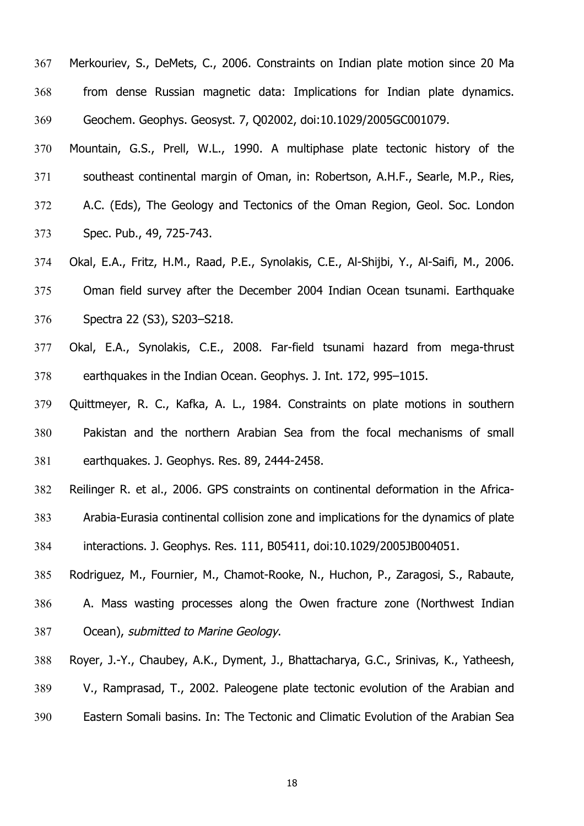Merkouriev, S., DeMets, C., 2006. Constraints on Indian plate motion since 20 Ma from dense Russian magnetic data: Implications for Indian plate dynamics. Geochem. Geophys. Geosyst. 7, Q02002, doi:10.1029/2005GC001079.

Mountain, G.S., Prell, W.L., 1990. A multiphase plate tectonic history of the southeast continental margin of Oman, in: Robertson, A.H.F., Searle, M.P., Ries, A.C. (Eds), The Geology and Tectonics of the Oman Region, Geol. Soc. London

Spec. Pub., 49, 725-743.

Okal, E.A., Fritz, H.M., Raad, P.E., Synolakis, C.E., Al-Shijbi, Y., Al-Saifi, M., 2006. Oman field survey after the December 2004 Indian Ocean tsunami. Earthquake Spectra 22 (S3), S203–S218.

Okal, E.A., Synolakis, C.E., 2008. Far-field tsunami hazard from mega-thrust earthquakes in the Indian Ocean. Geophys. J. Int. 172, 995–1015.

Quittmeyer, R. C., Kafka, A. L., 1984. Constraints on plate motions in southern Pakistan and the northern Arabian Sea from the focal mechanisms of small earthquakes. J. Geophys. Res. 89, 2444-2458.

Reilinger R. et al., 2006. GPS constraints on continental deformation in the Africa-Arabia-Eurasia continental collision zone and implications for the dynamics of plate interactions. J. Geophys. Res. 111, B05411, doi:10.1029/2005JB004051.

Rodriguez, M., Fournier, M., Chamot-Rooke, N., Huchon, P., Zaragosi, S., Rabaute, A. Mass wasting processes along the Owen fracture zone (Northwest Indian Ocean), submitted to Marine Geology.

Royer, J.-Y., Chaubey, A.K., Dyment, J., Bhattacharya, G.C., Srinivas, K., Yatheesh, V., Ramprasad, T., 2002. Paleogene plate tectonic evolution of the Arabian and Eastern Somali basins. In: The Tectonic and Climatic Evolution of the Arabian Sea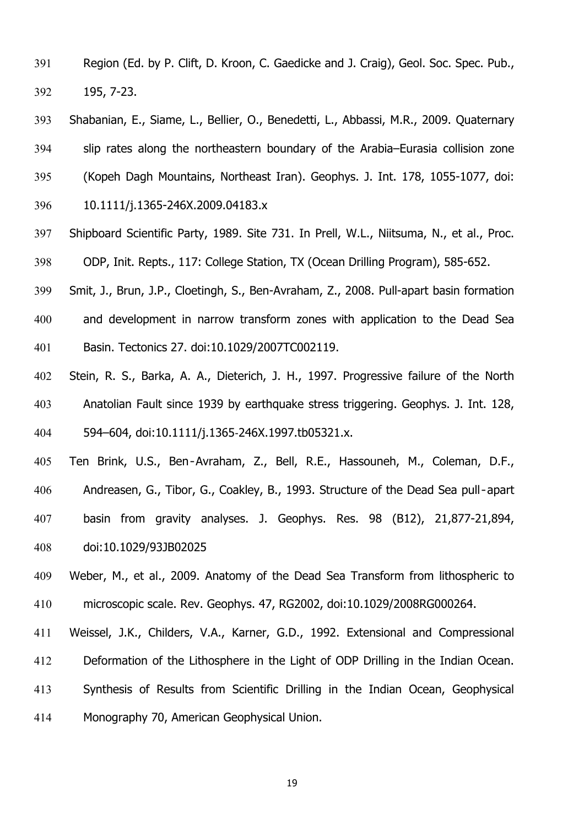- Region (Ed. by P. Clift, D. Kroon, C. Gaedicke and J. Craig), Geol. Soc. Spec. Pub., 195, 7-23.
- Shabanian, E., Siame, L., Bellier, O., Benedetti, L., Abbassi, M.R., 2009. Quaternary slip rates along the northeastern boundary of the Arabia–Eurasia collision zone (Kopeh Dagh Mountains, Northeast Iran). Geophys. J. Int. 178, 1055-1077, doi: 10.1111/j.1365-246X.2009.04183.x
- Shipboard Scientific Party, 1989. Site 731. In Prell, W.L., Niitsuma, N., et al., Proc. ODP, Init. Repts., 117: College Station, TX (Ocean Drilling Program), 585-652.
- Smit, J., Brun, J.P., Cloetingh, S., Ben-Avraham, Z., 2008. Pull-apart basin formation and development in narrow transform zones with application to the Dead Sea
- Basin. Tectonics 27. doi:10.1029/2007TC002119.
- Stein, R. S., Barka, A. A., Dieterich, J. H., 1997. Progressive failure of the North Anatolian Fault since 1939 by earthquake stress triggering. Geophys. J. Int. 128, 404 594–604, doi:10.1111/j.1365-246X.1997.tb05321.x.
- Ten Brink, U.S., Ben‐Avraham, Z., Bell, R.E., Hassouneh, M., Coleman, D.F., Andreasen, G., Tibor, G., Coakley, B., 1993. Structure of the Dead Sea pull‐apart basin from gravity analyses. J. Geophys. Res. 98 (B12), 21,877-21,894, doi:10.1029/93JB02025
- Weber, M., et al., 2009. Anatomy of the Dead Sea Transform from lithospheric to microscopic scale. Rev. Geophys. 47, RG2002, doi:10.1029/2008RG000264.
- Weissel, J.K., Childers, V.A., Karner, G.D., 1992. Extensional and Compressional Deformation of the Lithosphere in the Light of ODP Drilling in the Indian Ocean. Synthesis of Results from Scientific Drilling in the Indian Ocean, Geophysical Monography 70, American Geophysical Union.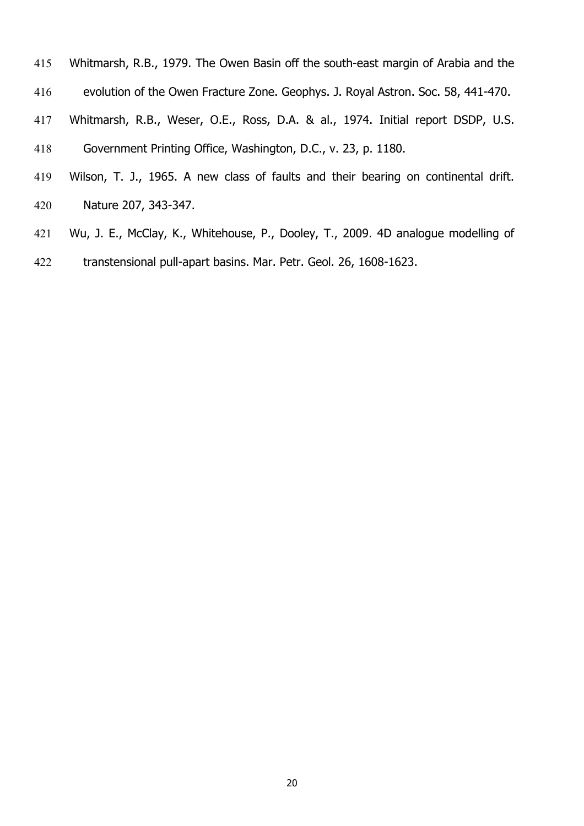- Whitmarsh, R.B., 1979. The Owen Basin off the south-east margin of Arabia and the
- evolution of the Owen Fracture Zone. Geophys. J. Royal Astron. Soc. 58, 441-470.
- Whitmarsh, R.B., Weser, O.E., Ross, D.A. & al., 1974. Initial report DSDP, U.S.
- Government Printing Office, Washington, D.C., v. 23, p. 1180.
- Wilson, T. J., 1965. A new class of faults and their bearing on continental drift. Nature 207, 343-347.
- Wu, J. E., McClay, K., Whitehouse, P., Dooley, T., 2009. 4D analogue modelling of transtensional pull-apart basins. Mar. Petr. Geol. 26, 1608-1623.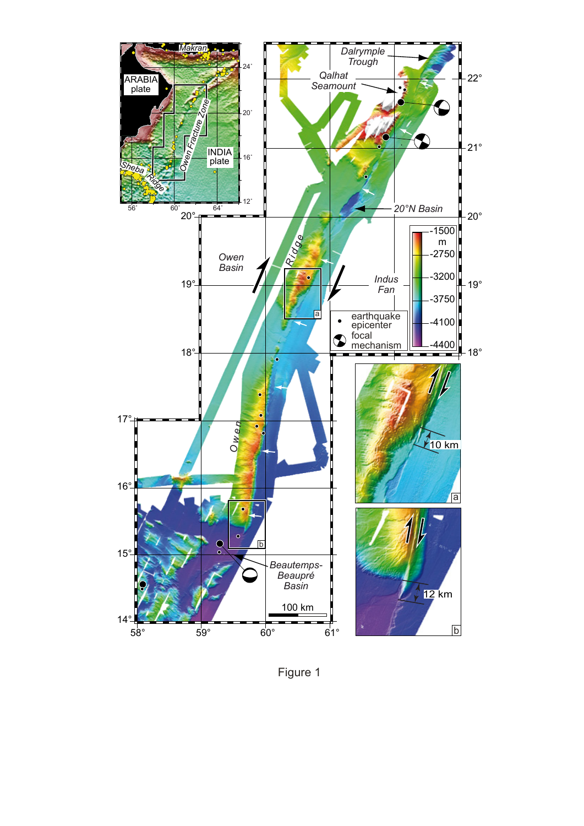

Figure 1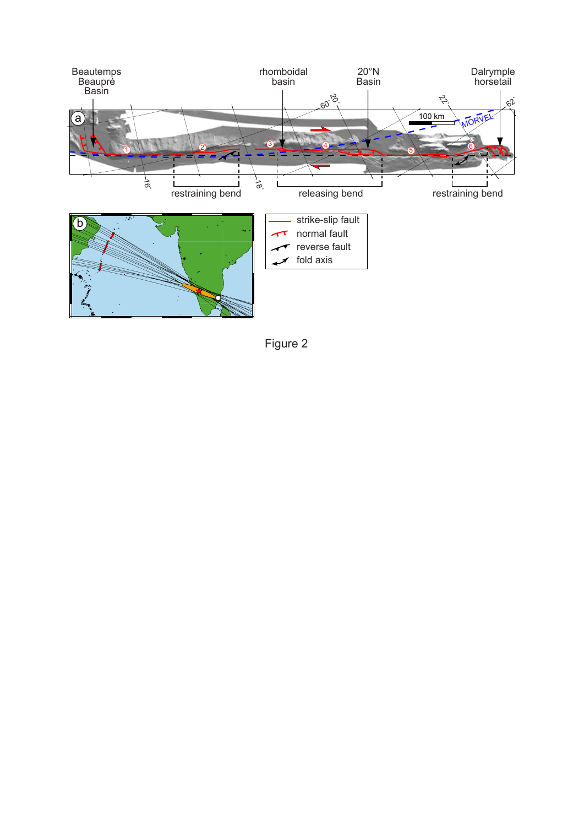

Figure 2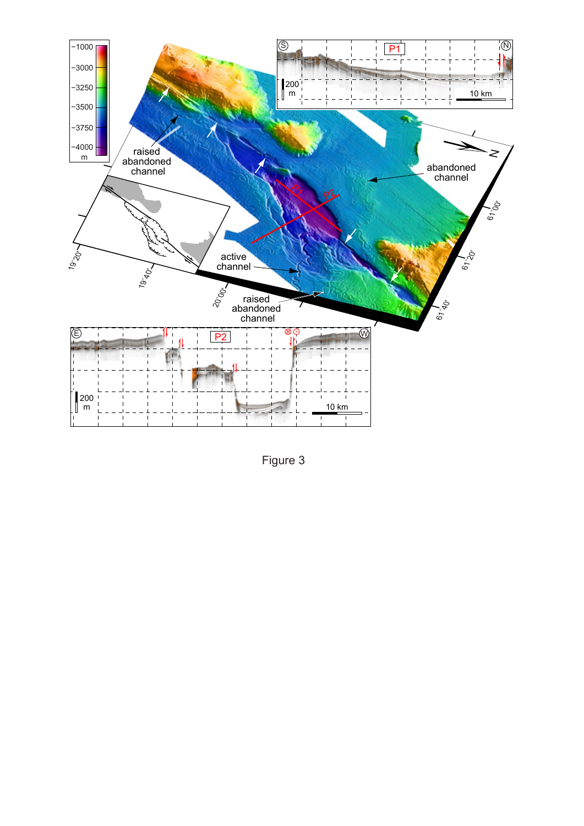

Figure 3